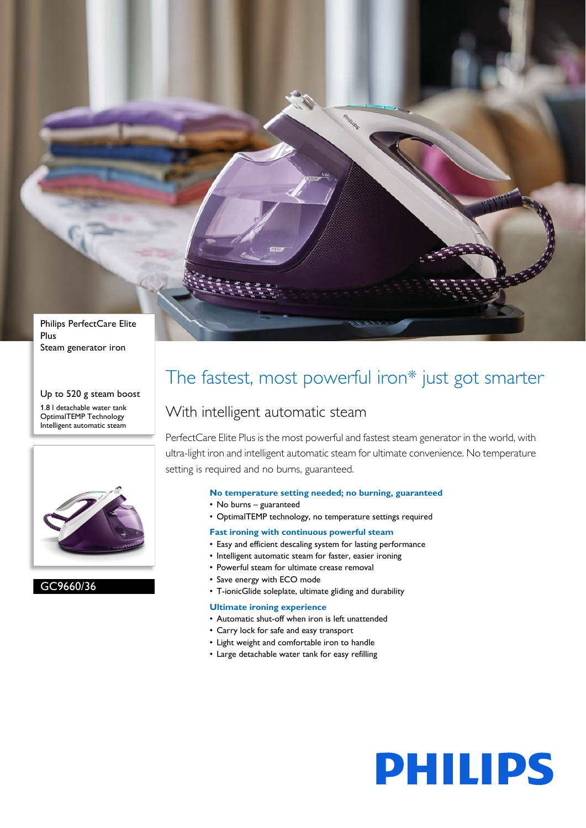

Up to 520 g steam boost 1.8 l detachable water tank OptimalTEMP Technology Intelligent automatic steam



#### GC9660/36

### The fastest, most powerful iron\* just got smarter

#### With intelligent automatic steam

PerfectCare Elite Plus is the most powerful and fastest steam generator in the world, with ultra-light iron and intelligent automatic steam for ultimate convenience. No temperature setting is required and no burns, guaranteed.

#### **No temperature setting needed; no burning, guaranteed**

- No burns guaranteed
- OptimalTEMP technology, no temperature settings required
- **Fast ironing with continuous powerful steam**
- Easy and efficient descaling system for lasting performance
- Intelligent automatic steam for faster, easier ironing
- Powerful steam for ultimate crease removal
- Save energy with ECO mode
- T-ionicGlide soleplate, ultimate gliding and durability

#### **Ultimate ironing experience**

- Automatic shut-off when iron is left unattended
- Carry lock for safe and easy transport
- Light weight and comfortable iron to handle
- Large detachable water tank for easy refilling

# **PHILIPS**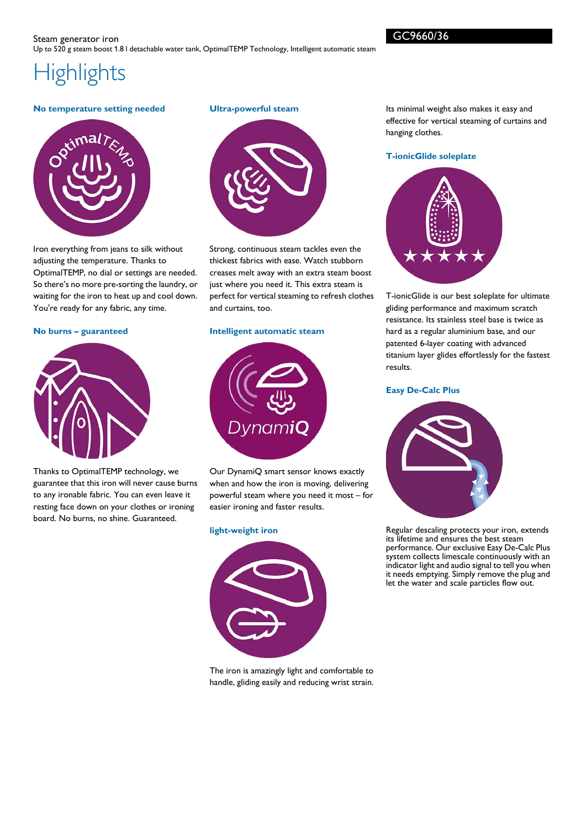## **Highlights**

#### **No temperature setting needed**



Iron everything from jeans to silk without adjusting the temperature. Thanks to OptimalTEMP, no dial or settings are needed. So there's no more pre-sorting the laundry, or waiting for the iron to heat up and cool down. You're ready for any fabric, any time.

#### **No burns – guaranteed**



Thanks to OptimalTEMP technology, we guarantee that this iron will never cause burns to any ironable fabric. You can even leave it resting face down on your clothes or ironing board. No burns, no shine. Guaranteed.

#### **Ultra-powerful steam**



Strong, continuous steam tackles even the thickest fabrics with ease. Watch stubborn creases melt away with an extra steam boost just where you need it. This extra steam is perfect for vertical steaming to refresh clothes and curtains, too.

#### **Intelligent automatic steam**



Our DynamiQ smart sensor knows exactly when and how the iron is moving, delivering powerful steam where you need it most – for easier ironing and faster results.

#### **light-weight iron**



The iron is amazingly light and comfortable to handle, gliding easily and reducing wrist strain. Its minimal weight also makes it easy and effective for vertical steaming of curtains and hanging clothes.

#### **T-ionicGlide soleplate**



T-ionicGlide is our best soleplate for ultimate gliding performance and maximum scratch resistance. Its stainless steel base is twice as hard as a regular aluminium base, and our patented 6-layer coating with advanced titanium layer glides effortlessly for the fastest results.

#### **Easy De-Calc Plus**



Regular descaling protects your iron, extends its lifetime and ensures the best steam performance. Our exclusive Easy De-Calc Plus system collects limescale continuously with an indicator light and audio signal to tell you when it needs emptying. Simply remove the plug and let the water and scale particles flow out.